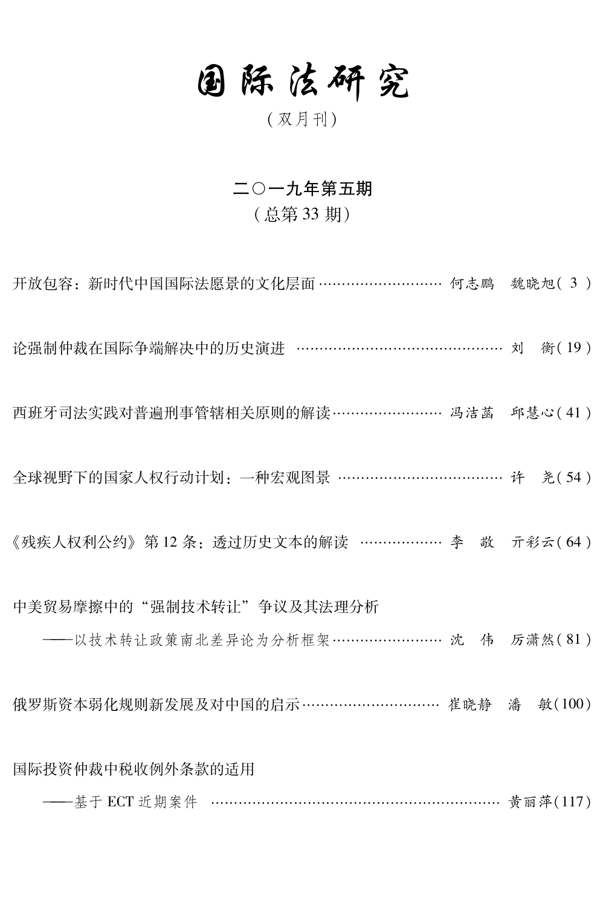## 固际法研究

(双月刊)

## 二〇一九年第五期

## (总第33期)

开放包容: 新时代中国国际法愿景的文化层面 ……………………… 何志鹏 魏晓旭(3) 论强制仲裁在国际争端解决中的历史演进 …………………………………… 刘 衡(19) 西班牙司法实践对普遍刑事管辖相关原则的解读……………………… 冯洁菡 邱慧心(41) 全球视野下的国家人权行动计划: 一种宏观图景 ………………………………… 许 尧(54) 《残疾人权利公约》第12条: 诱讨历史文本的解读 ……………… 李 敬 亓彩云(64) 中美贸易摩擦中的"强制技术转让"争议及其法理分析 ——以技术转让政策南北差异论为分析框架 ……………………… 沈 伟 厉潇然(81) 俄罗斯资本弱化规则新发展及对中国的启示………………………… 崔晓静 潘 敏(100) 国际投资仲裁中税收例外条款的适用 ----基于 ECT 近期案件 …………………………………………………… 黄丽萍(117)